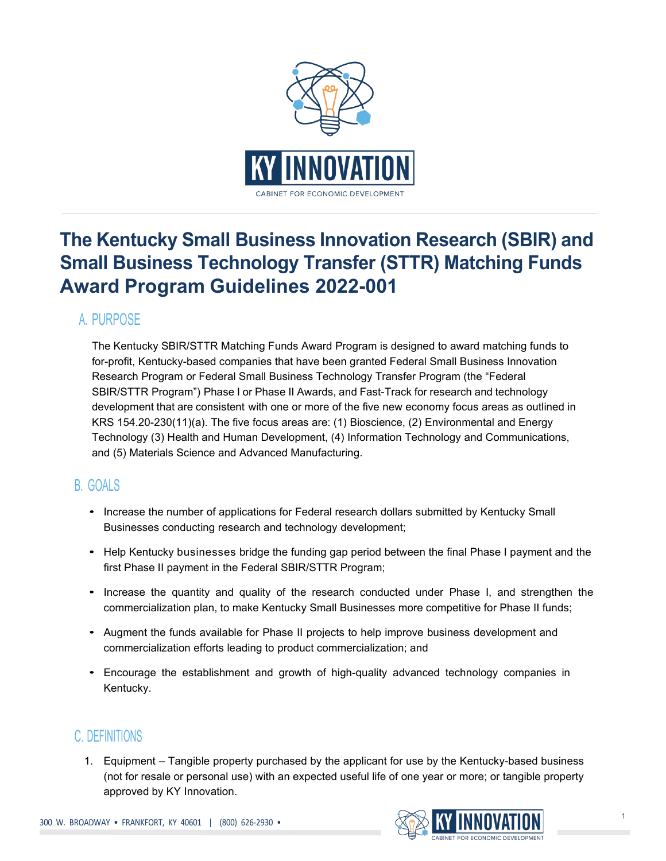

# **The Kentucky Small Business Innovation Research (SBIR) and Small Business Technology Transfer (STTR) Matching Funds Award Program Guidelines 2022-001**

## A. PURPOSE

The Kentucky SBIR/STTR Matching Funds Award Program is designed to award matching funds to for-profit, Kentucky-based companies that have been granted Federal Small Business Innovation Research Program or Federal Small Business Technology Transfer Program (the "Federal SBIR/STTR Program") Phase I or Phase II Awards, and Fast-Track for research and technology development that are consistent with one or more of the five new economy focus areas as outlined in KRS 154.20-230(11)(a). The five focus areas are: (1) Bioscience, (2) Environmental and Energy Technology (3) Health and Human Development, (4) Information Technology and Communications, and (5) Materials Science and Advanced Manufacturing.

## B. GOALS

- Increase the number of applications for Federal research dollars submitted by Kentucky Small Businesses conducting research and technology development;
- Help Kentucky businesses bridge the funding gap period between the final Phase I payment and the first Phase II payment in the Federal SBIR/STTR Program;
- Increase the quantity and quality of the research conducted under Phase I, and strengthen the commercialization plan, to make Kentucky Small Businesses more competitive for Phase II funds;
- Augment the funds available for Phase II projects to help improve business development and commercialization efforts leading to product commercialization; and
- Encourage the establishment and growth of high-quality advanced technology companies in Kentucky.

## C. DEFINITIONS

1. Equipment – Tangible property purchased by the applicant for use by the Kentucky-based business (not for resale or personal use) with an expected useful life of one year or more; or tangible property approved by KY Innovation.

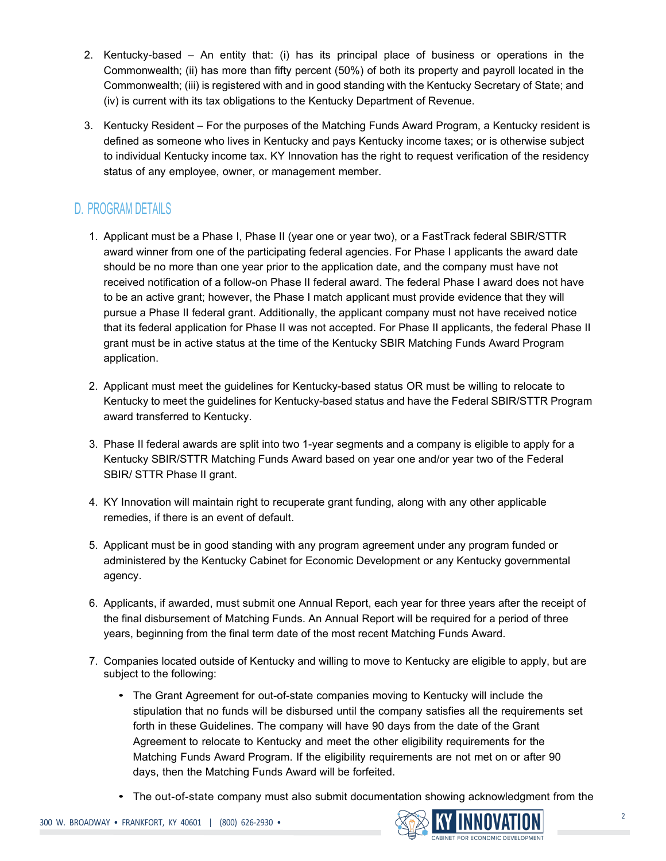- 2. Kentucky-based An entity that: (i) has its principal place of business or operations in the Commonwealth; (ii) has more than fifty percent (50%) of both its property and payroll located in the Commonwealth; (iii) is registered with and in good standing with the Kentucky Secretary of State; and (iv) is current with its tax obligations to the Kentucky Department of Revenue.
- 3. Kentucky Resident For the purposes of the Matching Funds Award Program, a Kentucky resident is defined as someone who lives in Kentucky and pays Kentucky income taxes; or is otherwise subject to individual Kentucky income tax. KY Innovation has the right to request verification of the residency status of any employee, owner, or management member.

## D. PROGRAM DETAILS

- 1. Applicant must be a Phase I, Phase II (year one or year two), or a FastTrack federal SBIR/STTR award winner from one of the participating federal agencies. For Phase I applicants the award date should be no more than one year prior to the application date, and the company must have not received notification of a follow-on Phase II federal award. The federal Phase I award does not have to be an active grant; however, the Phase I match applicant must provide evidence that they will pursue a Phase II federal grant. Additionally, the applicant company must not have received notice that its federal application for Phase II was not accepted. For Phase II applicants, the federal Phase II grant must be in active status at the time of the Kentucky SBIR Matching Funds Award Program application.
- 2. Applicant must meet the guidelines for Kentucky-based status OR must be willing to relocate to Kentucky to meet the guidelines for Kentucky-based status and have the Federal SBIR/STTR Program award transferred to Kentucky.
- 3. Phase II federal awards are split into two 1-year segments and a company is eligible to apply for a Kentucky SBIR/STTR Matching Funds Award based on year one and/or year two of the Federal SBIR/ STTR Phase II grant.
- 4. KY Innovation will maintain right to recuperate grant funding, along with any other applicable remedies, if there is an event of default.
- 5. Applicant must be in good standing with any program agreement under any program funded or administered by the Kentucky Cabinet for Economic Development or any Kentucky governmental agency.
- 6. Applicants, if awarded, must submit one Annual Report, each year for three years after the receipt of the final disbursement of Matching Funds. An Annual Report will be required for a period of three years, beginning from the final term date of the most recent Matching Funds Award.
- 7. Companies located outside of Kentucky and willing to move to Kentucky are eligible to apply, but are subject to the following:
	- The Grant Agreement for out-of-state companies moving to Kentucky will include the stipulation that no funds will be disbursed until the company satisfies all the requirements set forth in these Guidelines. The company will have 90 days from the date of the Grant Agreement to relocate to Kentucky and meet the other eligibility requirements for the Matching Funds Award Program. If the eligibility requirements are not met on or after 90 days, then the Matching Funds Award will be forfeited.
	- The out-of-state company must also submit documentation showing acknowledgment from the

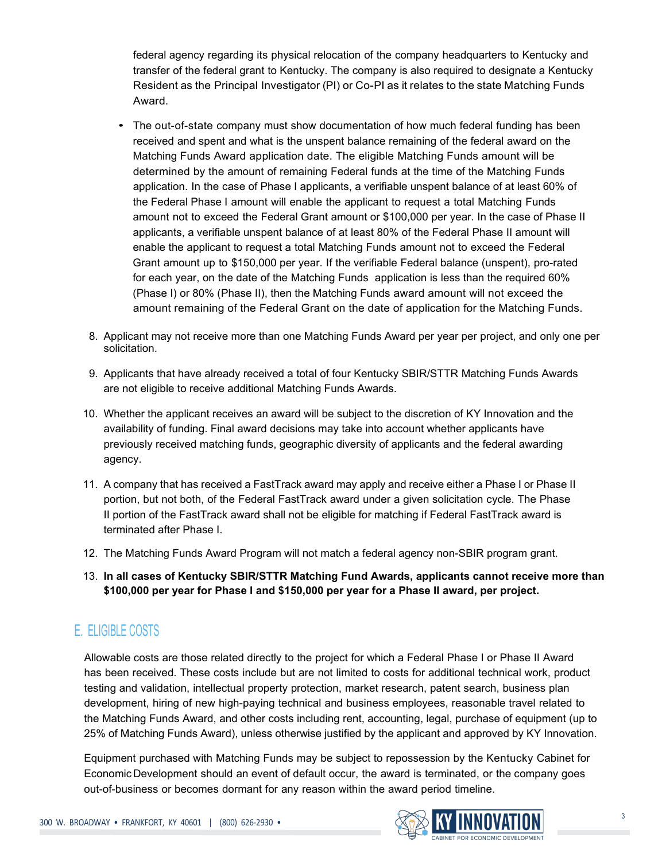federal agency regarding its physical relocation of the company headquarters to Kentucky and transfer of the federal grant to Kentucky. The company is also required to designate a Kentucky Resident as the Principal Investigator (PI) or Co-PI as it relates to the state Matching Funds Award.

- The out-of-state company must show documentation of how much federal funding has been received and spent and what is the unspent balance remaining of the federal award on the Matching Funds Award application date. The eligible Matching Funds amount will be determined by the amount of remaining Federal funds at the time of the Matching Funds application. In the case of Phase I applicants, a verifiable unspent balance of at least 60% of the Federal Phase I amount will enable the applicant to request a total Matching Funds amount not to exceed the Federal Grant amount or \$100,000 per year. In the case of Phase II applicants, a verifiable unspent balance of at least 80% of the Federal Phase II amount will enable the applicant to request a total Matching Funds amount not to exceed the Federal Grant amount up to \$150,000 per year. If the verifiable Federal balance (unspent), pro-rated for each year, on the date of the Matching Funds application is less than the required 60% (Phase I) or 80% (Phase II), then the Matching Funds award amount will not exceed the amount remaining of the Federal Grant on the date of application for the Matching Funds.
- 8. Applicant may not receive more than one Matching Funds Award per year per project, and only one per solicitation.
- 9. Applicants that have already received a total of four Kentucky SBIR/STTR Matching Funds Awards are not eligible to receive additional Matching Funds Awards.
- 10. Whether the applicant receives an award will be subject to the discretion of KY Innovation and the availability of funding. Final award decisions may take into account whether applicants have previously received matching funds, geographic diversity of applicants and the federal awarding agency.
- 11. A company that has received a FastTrack award may apply and receive either a Phase I or Phase II portion, but not both, of the Federal FastTrack award under a given solicitation cycle. The Phase II portion of the FastTrack award shall not be eligible for matching if Federal FastTrack award is terminated after Phase I.
- 12. The Matching Funds Award Program will not match a federal agency non-SBIR program grant.
- 13. **In all cases of Kentucky SBIR/STTR Matching Fund Awards, applicants cannot receive more than \$100,000 per year for Phase I and \$150,000 per year for a Phase II award, per project.**

## E. ELIGIBLE COSTS

Allowable costs are those related directly to the project for which a Federal Phase I or Phase II Award has been received. These costs include but are not limited to costs for additional technical work, product testing and validation, intellectual property protection, market research, patent search, business plan development, hiring of new high-paying technical and business employees, reasonable travel related to the Matching Funds Award, and other costs including rent, accounting, legal, purchase of equipment (up to 25% of Matching Funds Award), unless otherwise justified by the applicant and approved by KY Innovation.

Equipment purchased with Matching Funds may be subject to repossession by the Kentucky Cabinet for Economic Development should an event of default occur, the award is terminated, or the company goes out-of-business or becomes dormant for any reason within the award period timeline.



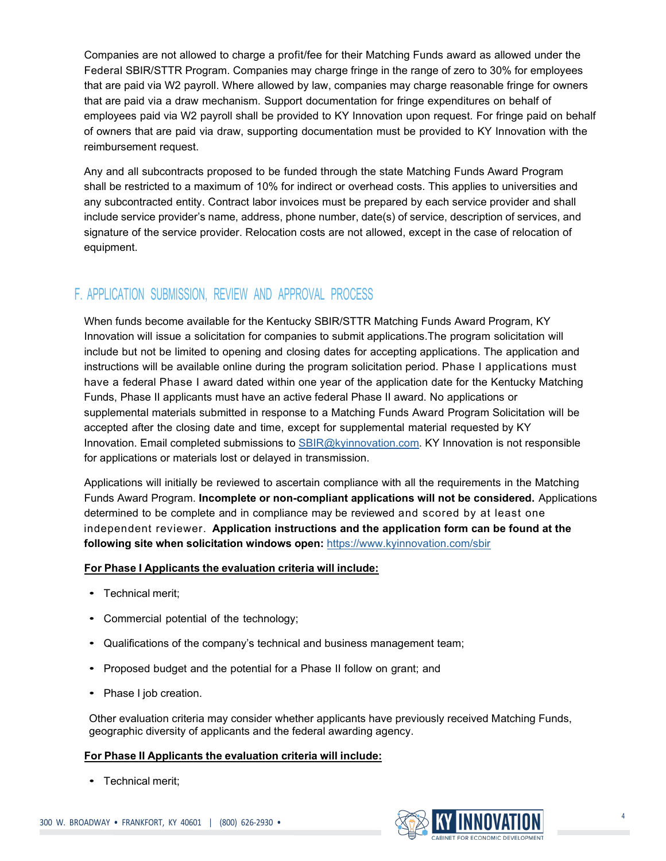Companies are not allowed to charge a profit/fee for their Matching Funds award as allowed under the Federal SBIR/STTR Program. Companies may charge fringe in the range of zero to 30% for employees that are paid via W2 payroll. Where allowed by law, companies may charge reasonable fringe for owners that are paid via a draw mechanism. Support documentation for fringe expenditures on behalf of employees paid via W2 payroll shall be provided to KY Innovation upon request. For fringe paid on behalf of owners that are paid via draw, supporting documentation must be provided to KY Innovation with the reimbursement request.

Any and all subcontracts proposed to be funded through the state Matching Funds Award Program shall be restricted to a maximum of 10% for indirect or overhead costs. This applies to universities and any subcontracted entity. Contract labor invoices must be prepared by each service provider and shall include service provider's name, address, phone number, date(s) of service, description of services, and signature of the service provider. Relocation costs are not allowed, except in the case of relocation of equipment.

## F. APPLICATION SUBMISSION, REVIEW AND APPROVAL PROCESS

When funds become available for the Kentucky SBIR/STTR Matching Funds Award Program, KY Innovation will issue a solicitation for companies to submit applications.The program solicitation will include but not be limited to opening and closing dates for accepting applications. The application and instructions will be available online during the program solicitation period. Phase I applications must have a federal Phase I award dated within one year of the application date for the Kentucky Matching Funds, Phase II applicants must have an active federal Phase II award. No applications or supplemental materials submitted in response to a Matching Funds Award Program Solicitation will be accepted after the closing date and time, except for supplemental material requested by KY Innovation. Email completed submissions to **SBIR@kyinnovation.com. KY Innovation is not responsible** for applications or materials lost or delayed in transmission.

Applications will initially be reviewed to ascertain compliance with all the requirements in the Matching Funds Award Program. **Incomplete or non-compliant applications will not be considered.** Applications determined to be complete and in compliance may be reviewed and scored by at least one independent reviewer. **Application instructions and the application form can be found at the following site when solicitation windows open:** <https://www.kyinnovation.com/sbir>

#### **For Phase I Applicants the evaluation criteria will include:**

- Technical merit;
- Commercial potential of the technology;
- Qualifications of the company's technical and business management team;
- Proposed budget and the potential for a Phase II follow on grant; and
- Phase I job creation.

Other evaluation criteria may consider whether applicants have previously received Matching Funds, geographic diversity of applicants and the federal awarding agency.

#### **For Phase II Applicants the evaluation criteria will include:**

• Technical merit;

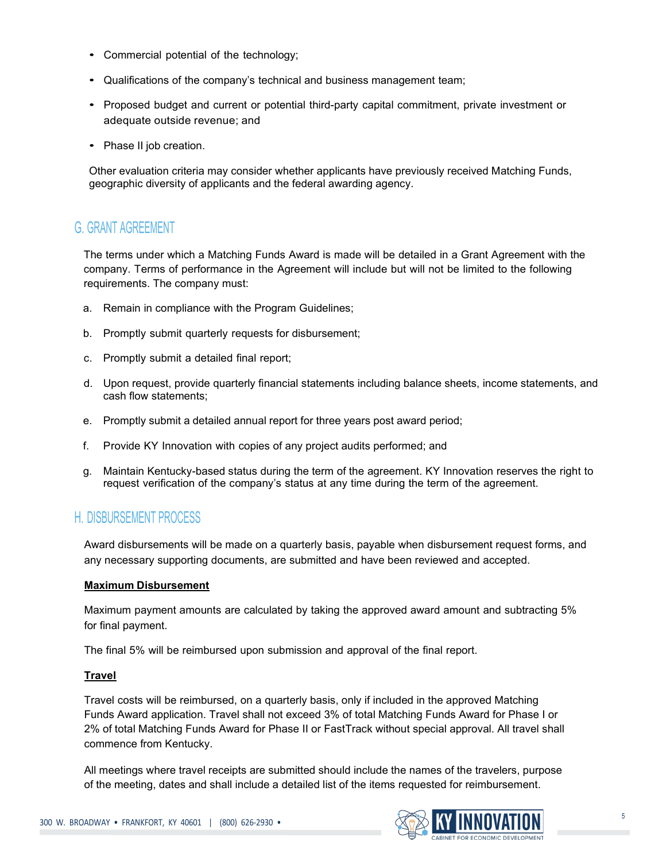- Commercial potential of the technology;
- Qualifications of the company's technical and business management team;
- Proposed budget and current or potential third-party capital commitment, private investment or adequate outside revenue; and
- Phase II job creation.

Other evaluation criteria may consider whether applicants have previously received Matching Funds, geographic diversity of applicants and the federal awarding agency.

## G. GRANT AGREEMENT

The terms under which a Matching Funds Award is made will be detailed in a Grant Agreement with the company. Terms of performance in the Agreement will include but will not be limited to the following requirements. The company must:

- a. Remain in compliance with the Program Guidelines;
- b. Promptly submit quarterly requests for disbursement;
- c. Promptly submit a detailed final report;
- d. Upon request, provide quarterly financial statements including balance sheets, income statements, and cash flow statements;
- e. Promptly submit a detailed annual report for three years post award period;
- f. Provide KY Innovation with copies of any project audits performed; and
- g. Maintain Kentucky-based status during the term of the agreement. KY Innovation reserves the right to request verification of the company's status at any time during the term of the agreement.

### H. DISBURSEMENT PROCESS

Award disbursements will be made on a quarterly basis, payable when disbursement request forms, and any necessary supporting documents, are submitted and have been reviewed and accepted.

#### **Maximum Disbursement**

Maximum payment amounts are calculated by taking the approved award amount and subtracting 5% for final payment.

The final 5% will be reimbursed upon submission and approval of the final report.

#### **Travel**

Travel costs will be reimbursed, on a quarterly basis, only if included in the approved Matching Funds Award application. Travel shall not exceed 3% of total Matching Funds Award for Phase I or 2% of total Matching Funds Award for Phase II or FastTrack without special approval. All travel shall commence from Kentucky.

All meetings where travel receipts are submitted should include the names of the travelers, purpose of the meeting, dates and shall include a detailed list of the items requested for reimbursement.